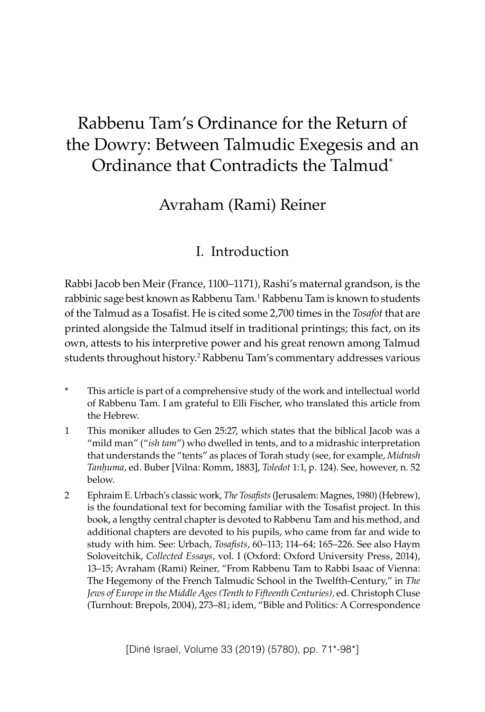# Rabbenu Tam's Ordinance for the Return of the Dowry: Between Talmudic Exegesis and an Ordinance that Contradicts the Talmud\*

## Avraham (Rami) Reiner

### I. Introduction

Rabbi Jacob ben Meir (France, 1100–1171), Rashi's maternal grandson, is the rabbinic sage best known as Rabbenu Tam.<sup>1</sup> Rabbenu Tam is known to students of the Talmud as a Tosafist. He is cited some 2,700 times in the *Tosafot* that are printed alongside the Talmud itself in traditional printings; this fact, on its own, attests to his interpretive power and his great renown among Talmud students throughout history.<sup>2</sup> Rabbenu Tam's commentary addresses various

- \* This article is part of a comprehensive study of the work and intellectual world of Rabbenu Tam. I am grateful to Elli Fischer, who translated this article from the Hebrew.
- 1 This moniker alludes to Gen 25:27, which states that the biblical Jacob was a "mild man" ("*ish tam*") who dwelled in tents, and to a midrashic interpretation that understands the "tents" as places of Torah study (see, for example, *Midrash Tanḥuma*, ed. Buber [Vilna: Romm, 1883], *Toledot* 1:1, p. 124). See, however, n. 52 below.
- 2 Ephraim E. Urbach's classic work, *The Tosafists* (Jerusalem: Magnes, 1980) (Hebrew), is the foundational text for becoming familiar with the Tosafist project. In this book, a lengthy central chapter is devoted to Rabbenu Tam and his method, and additional chapters are devoted to his pupils, who came from far and wide to study with him. See: Urbach, *Tosafists*, 60–113; 114–64; 165–226. See also Haym Soloveitchik, *Collected Essays*, vol. I (Oxford: Oxford University Press, 2014), 13–15; [Avraham \(Rami\) Reiner, "From](https://www.academia.edu/36015356/Avraham_Rami_Reiner_From_Rabbeinu_Tam_to_R._Isaac_of_Vienna_The_Hegemony_of_the_French_Talmudic_School_in_the_Twelfth-Century_in_Christoph_Cluse_ed._The_Jews_of_Europe_in_the_Middle_Ages_Tenth_to_Fifteenth_Centuries_Turnhout_Brepols_2004_273-281) Rabbenu Tam to Rabbi Isaac of Vienna: The Hegemony of the French Talmudic School in the [Twelfth-Century," in](https://www.academia.edu/36015356/Avraham_Rami_Reiner_From_Rabbeinu_Tam_to_R._Isaac_of_Vienna_The_Hegemony_of_the_French_Talmudic_School_in_the_Twelfth-Century_in_Christoph_Cluse_ed._The_Jews_of_Europe_in_the_Middle_Ages_Tenth_to_Fifteenth_Centuries_Turnhout_Brepols_2004_273-281) *The Jews of Europe in the Middle Ages (Tenth to Fifteenth Centuries),* [ed. Christoph](https://www.academia.edu/36015356/Avraham_Rami_Reiner_From_Rabbeinu_Tam_to_R._Isaac_of_Vienna_The_Hegemony_of_the_French_Talmudic_School_in_the_Twelfth-Century_in_Christoph_Cluse_ed._The_Jews_of_Europe_in_the_Middle_Ages_Tenth_to_Fifteenth_Centuries_Turnhout_Brepols_2004_273-281) Cluse [\(Turnhout: Brepols,](https://www.academia.edu/36015356/Avraham_Rami_Reiner_From_Rabbeinu_Tam_to_R._Isaac_of_Vienna_The_Hegemony_of_the_French_Talmudic_School_in_the_Twelfth-Century_in_Christoph_Cluse_ed._The_Jews_of_Europe_in_the_Middle_Ages_Tenth_to_Fifteenth_Centuries_Turnhout_Brepols_2004_273-281) 2004), 273–81; idem, "Bible and Politics: A Correspondence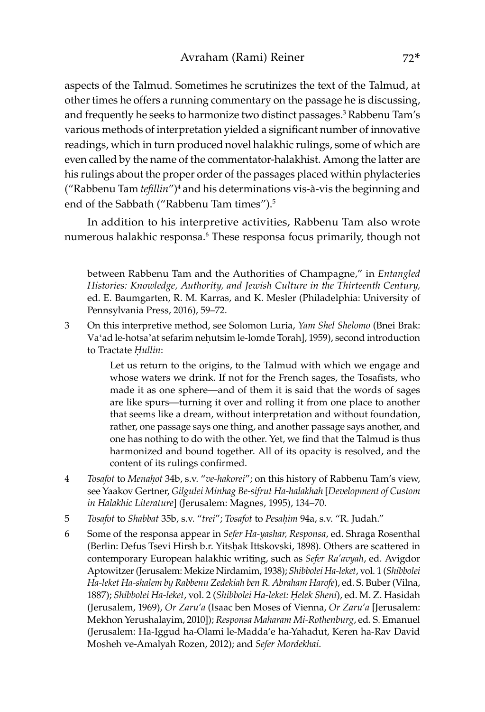aspects of the Talmud. Sometimes he scrutinizes the text of the Talmud, at other times he offers a running commentary on the passage he is discussing, and frequently he seeks to harmonize two distinct passages.<sup>3</sup> Rabbenu Tam's various methods of interpretation yielded a significant number of innovative readings, which in turn produced novel halakhic rulings, some of which are even called by the name of the commentator-halakhist. Among the latter are his rulings about the proper order of the passages placed within phylacteries ("Rabbenu Tam *tefillin"*)<sup>4</sup> and his determinations vis-à-vis the beginning and end of the Sabbath ("Rabbenu Tam times").<sup>5</sup>

In addition to his interpretive activities, Rabbenu Tam also wrote numerous halakhic responsa.<sup>6</sup> These responsa focus primarily, though not

between Rabbenu Tam and the Authorities of Champagne," in *Entangled Histories: Knowledge, Authority, and Jewish Culture in the Thirteenth Century,*  ed. E. Baumgarten, R. M. Karras, and K. Mesler (Philadelphia: University of Pennsylvania Press, 2016), 59–72.

3 On this interpretive method, see Solomon Luria, *Yam Shel Shelomo* (Bnei Brak: Vaʻad le-hotsa'at sefarim neḥutsim le-lomde Torah], 1959), second introduction to Tractate *Ḥullin*:

> Let us return to the origins, to the Talmud with which we engage and whose waters we drink. If not for the French sages, the Tosafists, who made it as one sphere—and of them it is said that the words of sages are like spurs—turning it over and rolling it from one place to another that seems like a dream, without interpretation and without foundation, rather, one passage says one thing, and another passage says another, and one has nothing to do with the other. Yet, we find that the Talmud is thus harmonized and bound together. All of its opacity is resolved, and the content of its rulings confirmed.

- 4 *Tosafot* to *Menaḥot* 34b, s.v. "*ve-hakorei*"; on this history of Rabbenu Tam's view, see Yaakov Gertner, *Gilgulei Minhag Be-sifrut Ha-halakhah* [*Development of Custom in Halakhic Literature*] (Jerusalem: Magnes, 1995), 134–70.
- 5 *Tosafot* to *Shabbat* 35b, s.v. "*trei*"; *Tosafot* to *Pesaḥim* 94a, s.v. "R. Judah."
- 6 Some of the responsa appear in *Sefer Ha-yashar, Responsa*, ed. Shraga Rosenthal (Berlin: Defus Tsevi Hirsh b.r. Yitsḥak Ittskovski, 1898)*.* Others are scattered in contemporary European halakhic writing, such as *Sefer Ra'avyah*, ed. Avigdor Aptowitzer (Jerusalem: Mekize Nirdamim, 1938); *Shibbolei Ha-leket*, vol. 1 (*Shibbolei Ha-leket Ha-shalem by Rabbenu Zedekiah ben R. Abraham Harofe*), ed. S. Buber (Vilna, 1887); *Shibbolei Ha-leket*, vol. 2 (*Shibbolei Ha-leket: Ḥelek Sheni*), ed. M. Z. Hasidah (Jerusalem, 1969), *Or Zaru'a* (Isaac ben Moses of Vienna, *Or Zaru'a* [Jerusalem: Mekhon Yerushalayim, 2010]); *Responsa Maharam Mi-Rothenburg*, ed. S. Emanuel (Jerusalem: Ha-Iggud ha-Olami le-Madda'e ha-Yahadut, Keren ha-Rav David Mosheh ve-Amalyah Rozen, 2012); and *Sefer Mordekhai*.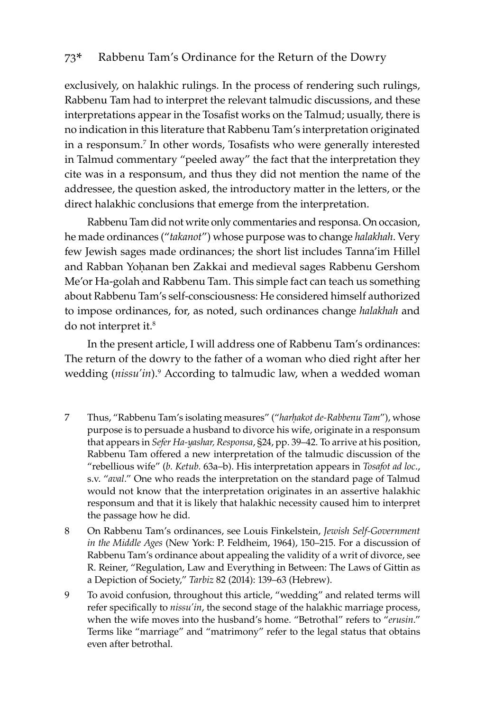exclusively, on halakhic rulings. In the process of rendering such rulings, Rabbenu Tam had to interpret the relevant talmudic discussions, and these interpretations appear in the Tosafist works on the Talmud; usually, there is no indication in this literature that Rabbenu Tam's interpretation originated in a responsum.7 In other words, Tosafists who were generally interested in Talmud commentary "peeled away" the fact that the interpretation they cite was in a responsum, and thus they did not mention the name of the addressee, the question asked, the introductory matter in the letters, or the direct halakhic conclusions that emerge from the interpretation.

Rabbenu Tam did not write only commentaries and responsa. On occasion, he made ordinances ("*takanot*") whose purpose was to change *halakhah*. Very few Jewish sages made ordinances; the short list includes Tanna'im Hillel and Rabban Yoḥanan ben Zakkai and medieval sages Rabbenu Gershom Me'or Ha-golah and Rabbenu Tam. This simple fact can teach us something about Rabbenu Tam's self-consciousness: He considered himself authorized to impose ordinances, for, as noted, such ordinances change *halakhah* and do not interpret it.<sup>8</sup>

In the present article, I will address one of Rabbenu Tam's ordinances: The return of the dowry to the father of a woman who died right after her wedding (nissu'in).<sup>9</sup> According to talmudic law, when a wedded woman

- 7 Thus, "Rabbenu Tam's isolating measures" ("*harḥakot de-Rabbenu Tam*"), whose purpose is to persuade a husband to divorce his wife, originate in a responsum that appears in *Sefer Ha-yashar, Responsa*, §24, pp. 39–42. To arrive at his position, Rabbenu Tam offered a new interpretation of the talmudic discussion of the "rebellious wife" (*b. Ketub.* 63a–b). His interpretation appears in *Tosafot ad loc*., s.v. "*aval*." One who reads the interpretation on the standard page of Talmud would not know that the interpretation originates in an assertive halakhic responsum and that it is likely that halakhic necessity caused him to interpret the passage how he did.
- 8 On Rabbenu Tam's ordinances, see Louis Finkelstein, *Jewish Self-Government in the Middle Ages* (New York: P. Feldheim, 1964), 150–215. For a discussion of Rabbenu Tam's ordinance about appealing the validity of a writ of divorce, see R. Reiner, "Regulation, Law and Everything in Between: The Laws of Gittin as a Depiction of Society," *Tarbiz* 82 (2014): 139–63 (Hebrew).
- 9 To avoid confusion, throughout this article, "wedding" and related terms will refer specifically to *nissu'in*, the second stage of the halakhic marriage process, when the wife moves into the husband's home. "Betrothal" refers to "*erusin*." Terms like "marriage" and "matrimony" refer to the legal status that obtains even after betrothal.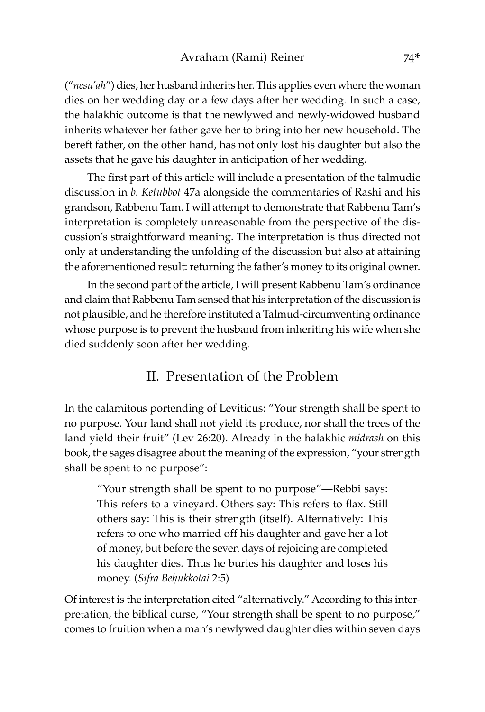("*nesu'ah*") dies, her husband inherits her. This applies even where the woman dies on her wedding day or a few days after her wedding. In such a case, the halakhic outcome is that the newlywed and newly-widowed husband inherits whatever her father gave her to bring into her new household. The bereft father, on the other hand, has not only lost his daughter but also the assets that he gave his daughter in anticipation of her wedding.

The first part of this article will include a presentation of the talmudic discussion in *b. Ketubbot* 47a alongside the commentaries of Rashi and his grandson, Rabbenu Tam. I will attempt to demonstrate that Rabbenu Tam's interpretation is completely unreasonable from the perspective of the discussion's straightforward meaning. The interpretation is thus directed not only at understanding the unfolding of the discussion but also at attaining the aforementioned result: returning the father's money to its original owner.

In the second part of the article, I will present Rabbenu Tam's ordinance and claim that Rabbenu Tam sensed that his interpretation of the discussion is not plausible, and he therefore instituted a Talmud-circumventing ordinance whose purpose is to prevent the husband from inheriting his wife when she died suddenly soon after her wedding.

### II. Presentation of the Problem

In the calamitous portending of Leviticus: "Your strength shall be spent to no purpose. Your land shall not yield its produce, nor shall the trees of the land yield their fruit" (Lev 26:20). Already in the halakhic *midrash* on this book, the sages disagree about the meaning of the expression, "your strength shall be spent to no purpose":

"Your strength shall be spent to no purpose"—Rebbi says: This refers to a vineyard. Others say: This refers to flax. Still others say: This is their strength (itself). Alternatively: This refers to one who married off his daughter and gave her a lot of money, but before the seven days of rejoicing are completed his daughter dies. Thus he buries his daughter and loses his money. (*Sifra Beḥukkotai* 2:5)

Of interest is the interpretation cited "alternatively." According to this interpretation, the biblical curse, "Your strength shall be spent to no purpose," comes to fruition when a man's newlywed daughter dies within seven days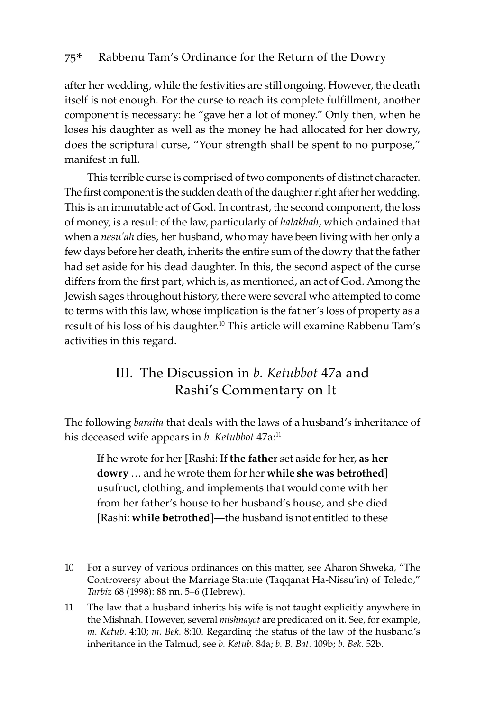after her wedding, while the festivities are still ongoing. However, the death itself is not enough. For the curse to reach its complete fulfillment, another component is necessary: he "gave her a lot of money." Only then, when he loses his daughter as well as the money he had allocated for her dowry, does the scriptural curse, "Your strength shall be spent to no purpose," manifest in full.

This terrible curse is comprised of two components of distinct character. The first component is the sudden death of the daughter right after her wedding. This is an immutable act of God. In contrast, the second component, the loss of money, is a result of the law, particularly of *halakhah*, which ordained that when a *nesu'ah* dies, her husband, who may have been living with her only a few days before her death, inherits the entire sum of the dowry that the father had set aside for his dead daughter. In this, the second aspect of the curse differs from the first part, which is, as mentioned, an act of God. Among the Jewish sages throughout history, there were several who attempted to come to terms with this law, whose implication is the father's loss of property as a result of his loss of his daughter.<sup>10</sup> This article will examine Rabbenu Tam's activities in this regard.

### III. The Discussion in *b. Ketubbot* 47a and Rashi's Commentary on It

The following *baraita* that deals with the laws of a husband's inheritance of his deceased wife appears in *b. Ketubbot* 47a:<sup>11</sup>

If he wrote for her [Rashi: If **the father** set aside for her, **as her dowry** … and he wrote them for her **while she was betrothed**] usufruct, clothing, and implements that would come with her from her father's house to her husband's house, and she died [Rashi: **while betrothed**]—the husband is not entitled to these

<sup>10</sup> For a survey of various ordinances on this matter, see Aharon Shweka, "The Controversy about the Marriage Statute (Taqqanat Ha-Nissu'in) of Toledo," *Tarbiz* 68 (1998): 88 nn. 5–6 (Hebrew).

<sup>11</sup> The law that a husband inherits his wife is not taught explicitly anywhere in the Mishnah. However, several *mishnayot* are predicated on it. See, for example, *m. Ketub.* 4:10; *m. Bek.* 8:10. Regarding the status of the law of the husband's inheritance in the Talmud, see *b. Ketub.* 84a; *b. B. Bat.* 109b; *b. Bek.* 52b.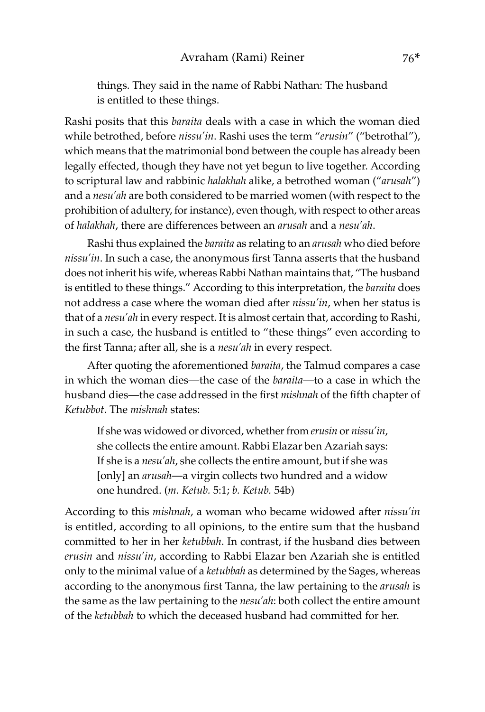things. They said in the name of Rabbi Nathan: The husband is entitled to these things.

Rashi posits that this *baraita* deals with a case in which the woman died while betrothed, before *nissu'in*. Rashi uses the term "*erusin*" ("betrothal"), which means that the matrimonial bond between the couple has already been legally effected, though they have not yet begun to live together. According to scriptural law and rabbinic *halakhah* alike, a betrothed woman ("*arusah*") and a *nesu'ah* are both considered to be married women (with respect to the prohibition of adultery, for instance), even though, with respect to other areas of *halakhah*, there are differences between an *arusah* and a *nesu'ah*.

Rashi thus explained the *baraita* as relating to an *arusah* who died before *nissu'in*. In such a case, the anonymous first Tanna asserts that the husband does not inherit his wife, whereas Rabbi Nathan maintains that, "The husband is entitled to these things." According to this interpretation, the *baraita* does not address a case where the woman died after *nissu'in*, when her status is that of a *nesu'ah* in every respect. It is almost certain that, according to Rashi, in such a case, the husband is entitled to "these things" even according to the first Tanna; after all, she is a *nesu'ah* in every respect.

After quoting the aforementioned *baraita*, the Talmud compares a case in which the woman dies—the case of the *baraita*—to a case in which the husband dies—the case addressed in the first *mishnah* of the fifth chapter of *Ketubbot*. The *mishnah* states:

If she was widowed or divorced, whether from *erusin* or *nissu'in*, she collects the entire amount. Rabbi Elazar ben Azariah says: If she is a *nesu'ah*, she collects the entire amount, but if she was [only] an *arusah*—a virgin collects two hundred and a widow one hundred. (*m. Ketub.* 5:1; *b. Ketub.* 54b)

According to this *mishnah*, a woman who became widowed after *nissu'in* is entitled, according to all opinions, to the entire sum that the husband committed to her in her *ketubbah*. In contrast, if the husband dies between *erusin* and *nissu'in*, according to Rabbi Elazar ben Azariah she is entitled only to the minimal value of a *ketubbah* as determined by the Sages, whereas according to the anonymous first Tanna, the law pertaining to the *arusah* is the same as the law pertaining to the *nesu'ah*: both collect the entire amount of the *ketubbah* to which the deceased husband had committed for her.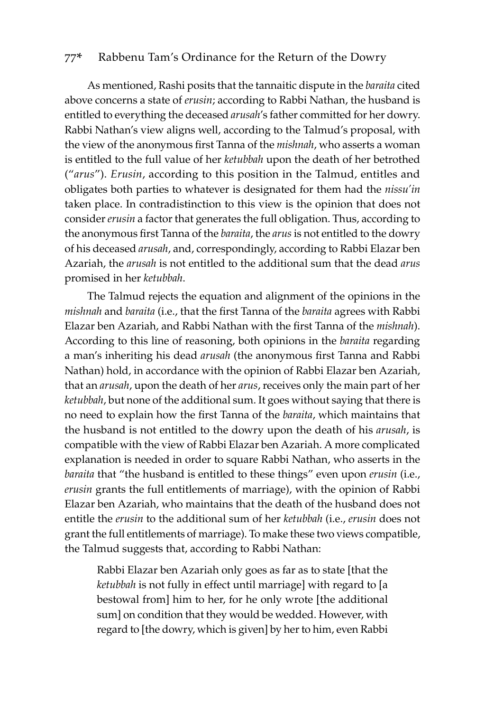As mentioned, Rashi posits that the tannaitic dispute in the *baraita* cited above concerns a state of *erusin*; according to Rabbi Nathan, the husband is entitled to everything the deceased *arusah*'s father committed for her dowry. Rabbi Nathan's view aligns well, according to the Talmud's proposal, with the view of the anonymous first Tanna of the *mishnah*, who asserts a woman is entitled to the full value of her *ketubbah* upon the death of her betrothed ("*arus*"). *Erusin*, according to this position in the Talmud, entitles and obligates both parties to whatever is designated for them had the *nissu'in* taken place. In contradistinction to this view is the opinion that does not consider *erusin* a factor that generates the full obligation. Thus, according to the anonymous first Tanna of the *baraita*, the *arus* is not entitled to the dowry of his deceased *arusah*, and, correspondingly, according to Rabbi Elazar ben Azariah, the *arusah* is not entitled to the additional sum that the dead *arus* promised in her *ketubbah*.

The Talmud rejects the equation and alignment of the opinions in the *mishnah* and *baraita* (i.e., that the first Tanna of the *baraita* agrees with Rabbi Elazar ben Azariah, and Rabbi Nathan with the first Tanna of the *mishnah*). According to this line of reasoning, both opinions in the *baraita* regarding a man's inheriting his dead *arusah* (the anonymous first Tanna and Rabbi Nathan) hold, in accordance with the opinion of Rabbi Elazar ben Azariah, that an *arusah*, upon the death of her *arus*, receives only the main part of her *ketubbah*, but none of the additional sum. It goes without saying that there is no need to explain how the first Tanna of the *baraita*, which maintains that the husband is not entitled to the dowry upon the death of his *arusah*, is compatible with the view of Rabbi Elazar ben Azariah. A more complicated explanation is needed in order to square Rabbi Nathan, who asserts in the *baraita* that "the husband is entitled to these things" even upon *erusin* (i.e., *erusin* grants the full entitlements of marriage), with the opinion of Rabbi Elazar ben Azariah, who maintains that the death of the husband does not entitle the *erusin* to the additional sum of her *ketubbah* (i.e., *erusin* does not grant the full entitlements of marriage). To make these two views compatible, the Talmud suggests that, according to Rabbi Nathan:

Rabbi Elazar ben Azariah only goes as far as to state [that the *ketubbah* is not fully in effect until marriage] with regard to [a bestowal from] him to her, for he only wrote [the additional sum] on condition that they would be wedded. However, with regard to [the dowry, which is given] by her to him, even Rabbi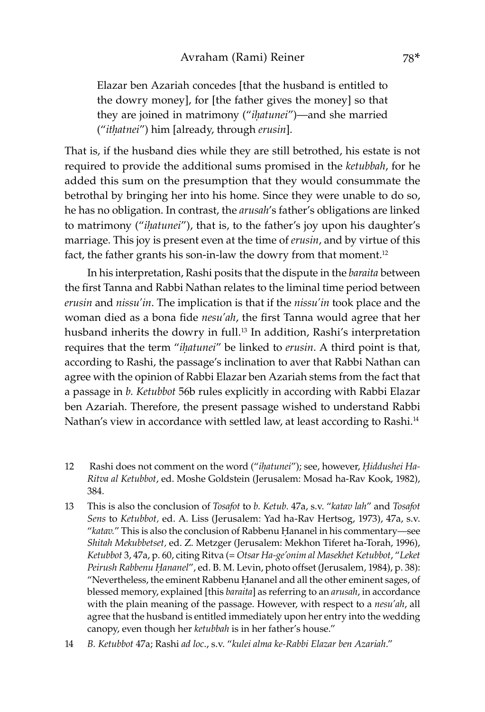Elazar ben Azariah concedes [that the husband is entitled to the dowry money], for [the father gives the money] so that they are joined in matrimony ("*iḥatunei*")—and she married ("*itḥatnei*") him [already, through *erusin*].

That is, if the husband dies while they are still betrothed, his estate is not required to provide the additional sums promised in the *ketubbah*, for he added this sum on the presumption that they would consummate the betrothal by bringing her into his home. Since they were unable to do so, he has no obligation. In contrast, the *arusah*'s father's obligations are linked to matrimony ("*iḥatunei*"), that is, to the father's joy upon his daughter's marriage. This joy is present even at the time of *erusin*, and by virtue of this fact, the father grants his son-in-law the dowry from that moment.<sup>12</sup>

In his interpretation, Rashi posits that the dispute in the *baraita* between the first Tanna and Rabbi Nathan relates to the liminal time period between *erusin* and *nissu'in*. The implication is that if the *nissu'in* took place and the woman died as a bona fide *nesu'ah*, the first Tanna would agree that her husband inherits the dowry in full.<sup>13</sup> In addition, Rashi's interpretation requires that the term "*iḥatunei*" be linked to *erusin*. A third point is that, according to Rashi, the passage's inclination to aver that Rabbi Nathan can agree with the opinion of Rabbi Elazar ben Azariah stems from the fact that a passage in *b. Ketubbot* 56b rules explicitly in according with Rabbi Elazar ben Azariah. Therefore, the present passage wished to understand Rabbi Nathan's view in accordance with settled law, at least according to Rashi.<sup>14</sup>

- 12 Rashi does not comment on the word ("*iḥatunei*"); see, however, *Ḥiddushei Ha-Ritva al Ketubbot*, ed. Moshe Goldstein (Jerusalem: Mosad ha-Rav Kook, 1982), 384.
- 13 This is also the conclusion of *Tosafot* to *b. Ketub.* 47a, s.v. "*katav lah*" and *Tosafot Sens* to *Ketubbot,* ed. A. Liss (Jerusalem: Yad ha-Rav Hertsog, 1973), 47a, s.v. "*katav.*" This is also the conclusion of Rabbenu Ḥananel in his commentary—see *Shitah Mekubbetset,* ed. Z. Metzger (Jerusalem: Mekhon Tiferet ha-Torah, 1996), *Ketubbot* 3, 47a, p. 60, citing Ritva (= *Otsar Ha-ge'onim al Masekhet Ketubbot*, "*Leket Peirush Rabbenu Ḥananel*", ed. B. M. Levin, photo offset (Jerusalem, 1984), p. 38): "Nevertheless, the eminent Rabbenu Ḥananel and all the other eminent sages, of blessed memory, explained [this *baraita*] as referring to an *arusah*, in accordance with the plain meaning of the passage. However, with respect to a *nesu'ah*, all agree that the husband is entitled immediately upon her entry into the wedding canopy, even though her *ketubbah* is in her father's house."
- 14 *B. Ketubbot* 47a; Rashi *ad loc*., s.v. "*kulei alma ke-Rabbi Elazar ben Azariah*."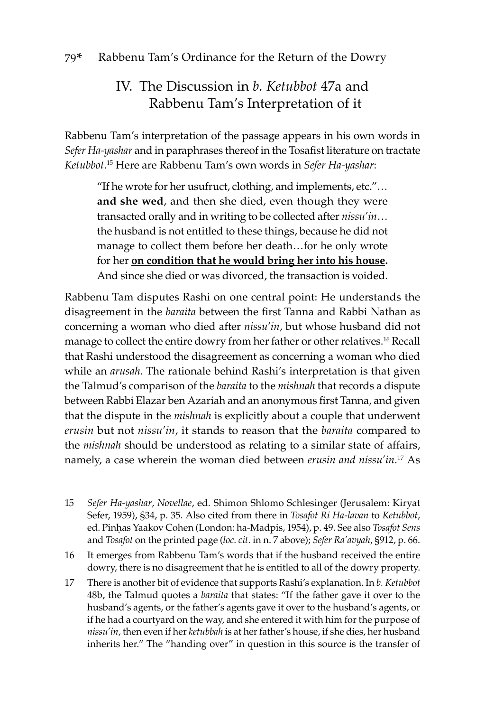### IV. The Discussion in *b. Ketubbot* 47a and Rabbenu Tam's Interpretation of it

Rabbenu Tam's interpretation of the passage appears in his own words in *Sefer Ha-yashar* and in paraphrases thereof in the Tosafist literature on tractate *Ketubbot*. 15 Here are Rabbenu Tam's own words in *Sefer Ha-yashar*:

"If he wrote for her usufruct, clothing, and implements, etc."… **and she wed**, and then she died, even though they were transacted orally and in writing to be collected after *nissu'in*… the husband is not entitled to these things, because he did not manage to collect them before her death…for he only wrote for her **on condition that he would bring her into his house.**  And since she died or was divorced, the transaction is voided.

Rabbenu Tam disputes Rashi on one central point: He understands the disagreement in the *baraita* between the first Tanna and Rabbi Nathan as concerning a woman who died after *nissu'in*, but whose husband did not manage to collect the entire dowry from her father or other relatives.<sup>16</sup> Recall that Rashi understood the disagreement as concerning a woman who died while an *arusah*. The rationale behind Rashi's interpretation is that given the Talmud's comparison of the *baraita* to the *mishnah* that records a dispute between Rabbi Elazar ben Azariah and an anonymous first Tanna, and given that the dispute in the *mishnah* is explicitly about a couple that underwent *erusin* but not *nissu'in*, it stands to reason that the *baraita* compared to the *mishnah* should be understood as relating to a similar state of affairs, namely, a case wherein the woman died between *erusin and nissu'in*. 17 As

- 15 *Sefer Ha-yashar*, *Novellae*, ed. Shimon Shlomo Schlesinger (Jerusalem: Kiryat Sefer, 1959), §34, p. 35. Also cited from there in *Tosafot Ri Ha-lavan* to *Ketubbot*, ed. Pinḥas Yaakov Cohen (London: ha-Madpis, 1954), p. 49. See also *Tosafot Sens*  and *Tosafot* on the printed page (*loc. cit.* in n. 7 above); *Sefer Ra'avyah*, §912, p. 66.
- 16 It emerges from Rabbenu Tam's words that if the husband received the entire dowry, there is no disagreement that he is entitled to all of the dowry property.
- 17 There is another bit of evidence that supports Rashi's explanation. In *b. Ketubbot* 48b, the Talmud quotes a *baraita* that states: "If the father gave it over to the husband's agents, or the father's agents gave it over to the husband's agents, or if he had a courtyard on the way, and she entered it with him for the purpose of *nissu'in*, then even if her *ketubbah* is at her father's house, if she dies, her husband inherits her." The "handing over" in question in this source is the transfer of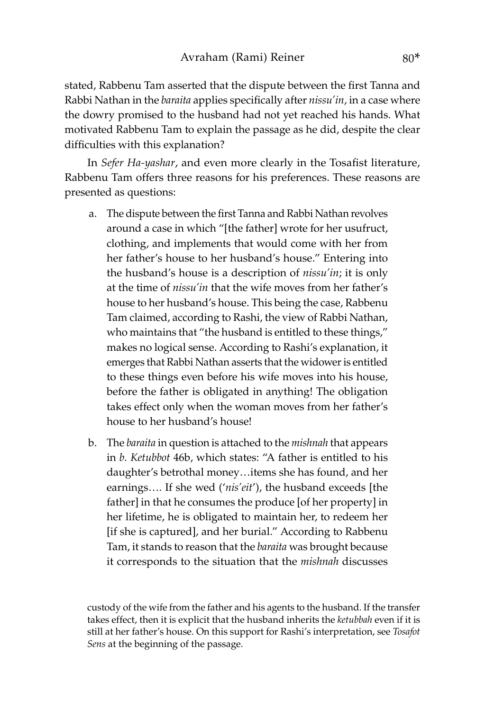stated, Rabbenu Tam asserted that the dispute between the first Tanna and Rabbi Nathan in the *baraita* applies specifically after *nissu'in*, in a case where the dowry promised to the husband had not yet reached his hands. What motivated Rabbenu Tam to explain the passage as he did, despite the clear difficulties with this explanation?

In *Sefer Ha-yashar*, and even more clearly in the Tosafist literature, Rabbenu Tam offers three reasons for his preferences. These reasons are presented as questions:

- a. The dispute between the first Tanna and Rabbi Nathan revolves around a case in which "[the father] wrote for her usufruct, clothing, and implements that would come with her from her father's house to her husband's house." Entering into the husband's house is a description of *nissu'in*; it is only at the time of *nissu'in* that the wife moves from her father's house to her husband's house. This being the case, Rabbenu Tam claimed, according to Rashi, the view of Rabbi Nathan, who maintains that "the husband is entitled to these things," makes no logical sense. According to Rashi's explanation, it emerges that Rabbi Nathan asserts that the widower is entitled to these things even before his wife moves into his house, before the father is obligated in anything! The obligation takes effect only when the woman moves from her father's house to her husband's house!
- b. The *baraita* in question is attached to the *mishnah* that appears in *b. Ketubbot* 46b, which states: "A father is entitled to his daughter's betrothal money…items she has found, and her earnings…. If she wed ('*nis'eit*'), the husband exceeds [the father] in that he consumes the produce [of her property] in her lifetime, he is obligated to maintain her, to redeem her [if she is captured], and her burial." According to Rabbenu Tam, it stands to reason that the *baraita* was brought because it corresponds to the situation that the *mishnah* discusses

custody of the wife from the father and his agents to the husband. If the transfer takes effect, then it is explicit that the husband inherits the *ketubbah* even if it is still at her father's house. On this support for Rashi's interpretation, see *Tosafot Sens* at the beginning of the passage.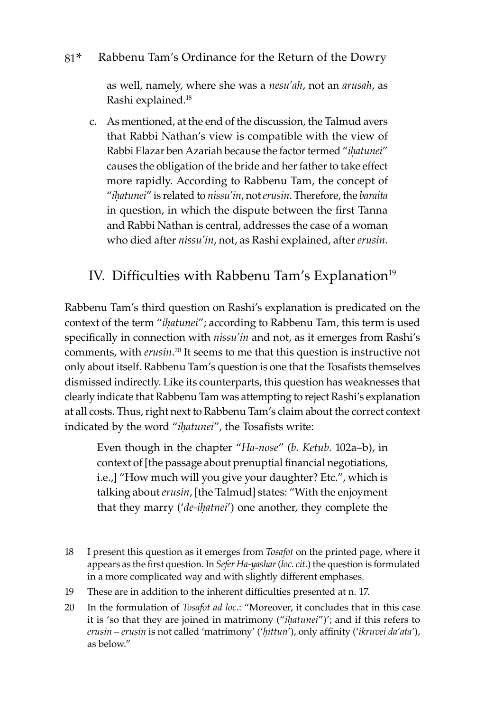as well, namely, where she was a *nesu'ah*, not an *arusah*, as Rashi explained.<sup>18</sup>

c. As mentioned, at the end of the discussion, the Talmud avers that Rabbi Nathan's view is compatible with the view of Rabbi Elazar ben Azariah because the factor termed "*iḥatunei*" causes the obligation of the bride and her father to take effect more rapidly. According to Rabbenu Tam, the concept of "*iḥatunei*" is related to *nissu'in*, not *erusin*. Therefore, the *baraita*  in question, in which the dispute between the first Tanna and Rabbi Nathan is central, addresses the case of a woman who died after *nissu'in*, not, as Rashi explained, after *erusin*.

### IV. Difficulties with Rabbenu Tam's Explanation<sup>19</sup>

Rabbenu Tam's third question on Rashi's explanation is predicated on the context of the term "*iḥatunei*"; according to Rabbenu Tam, this term is used specifically in connection with *nissu'in* and not, as it emerges from Rashi's comments, with *erusin*. <sup>20</sup> It seems to me that this question is instructive not only about itself. Rabbenu Tam's question is one that the Tosafists themselves dismissed indirectly. Like its counterparts, this question has weaknesses that clearly indicate that Rabbenu Tam was attempting to reject Rashi's explanation at all costs. Thus, right next to Rabbenu Tam's claim about the correct context indicated by the word "*iḥatunei*", the Tosafists write:

Even though in the chapter "*Ha-nose*" (*b. Ketub.* 102a–b), in context of [the passage about prenuptial financial negotiations, i.e.,] "How much will you give your daughter? Etc.", which is talking about *erusin*, [the Talmud] states: "With the enjoyment that they marry ('*de-iḥatnei*') one another, they complete the

- 18 I present this question as it emerges from *Tosafot* on the printed page, where it appears as the first question. In *Sefer Ha-yashar* (*loc. cit*.) the question is formulated in a more complicated way and with slightly different emphases.
- 19 These are in addition to the inherent difficulties presented at n. 17.
- 20 In the formulation of *Tosafot ad loc*.: "Moreover, it concludes that in this case it is 'so that they are joined in matrimony ("*iḥatunei*")'; and if this refers to *erusin* – *erusin* is not called 'matrimony' ('*ḥittun*'), only affinity ('*ikruvei da'ata*'), as below."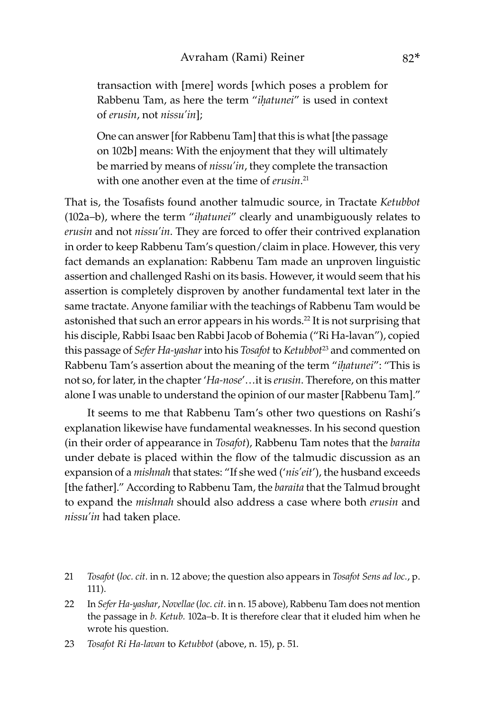transaction with [mere] words [which poses a problem for Rabbenu Tam, as here the term "*iḥatunei*" is used in context of *erusin*, not *nissu'in*];

One can answer [for Rabbenu Tam] that this is what [the passage on 102b] means: With the enjoyment that they will ultimately be married by means of *nissu'in*, they complete the transaction with one another even at the time of *erusin*. 21

That is, the Tosafists found another talmudic source, in Tractate *Ketubbot*  (102a–b), where the term "*iḥatunei*" clearly and unambiguously relates to *erusin* and not *nissu'in*. They are forced to offer their contrived explanation in order to keep Rabbenu Tam's question/claim in place. However, this very fact demands an explanation: Rabbenu Tam made an unproven linguistic assertion and challenged Rashi on its basis. However, it would seem that his assertion is completely disproven by another fundamental text later in the same tractate. Anyone familiar with the teachings of Rabbenu Tam would be astonished that such an error appears in his words.<sup>22</sup> It is not surprising that his disciple, Rabbi Isaac ben Rabbi Jacob of Bohemia ("Ri Ha-lavan"), copied this passage of *Sefer Ha-yashar* into his *Tosafot* to *Ketubbot*<sup>23</sup> and commented on Rabbenu Tam's assertion about the meaning of the term "*iḥatunei*": "This is not so, for later, in the chapter '*Ha-nose*'…it is *erusin*. Therefore, on this matter alone I was unable to understand the opinion of our master [Rabbenu Tam]."

It seems to me that Rabbenu Tam's other two questions on Rashi's explanation likewise have fundamental weaknesses. In his second question (in their order of appearance in *Tosafot*), Rabbenu Tam notes that the *baraita*  under debate is placed within the flow of the talmudic discussion as an expansion of a *mishnah* that states: "If she wed ('*nis'eit*'), the husband exceeds [the father]." According to Rabbenu Tam, the *baraita* that the Talmud brought to expand the *mishnah* should also address a case where both *erusin* and *nissu'in* had taken place.

<sup>21</sup> *Tosafot* (*loc. cit.* in n. 12 above; the question also appears in *Tosafot Sens ad loc.*, p. 111).

<sup>22</sup> In *Sefer Ha-yashar*, *Novellae* (*loc. cit*. in n. 15 above), Rabbenu Tam does not mention the passage in *b. Ketub.* 102a–b. It is therefore clear that it eluded him when he wrote his question.

<sup>23</sup> *Tosafot Ri Ha-lavan* to *Ketubbot* (above, n. 15), p. 51.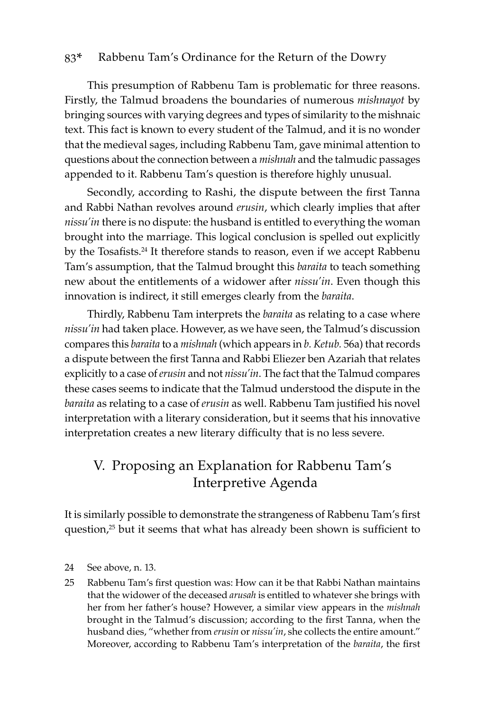This presumption of Rabbenu Tam is problematic for three reasons. Firstly, the Talmud broadens the boundaries of numerous *mishnayot* by bringing sources with varying degrees and types of similarity to the mishnaic text. This fact is known to every student of the Talmud, and it is no wonder that the medieval sages, including Rabbenu Tam, gave minimal attention to questions about the connection between a *mishnah* and the talmudic passages appended to it. Rabbenu Tam's question is therefore highly unusual.

Secondly, according to Rashi, the dispute between the first Tanna and Rabbi Nathan revolves around *erusin*, which clearly implies that after *nissu'in* there is no dispute: the husband is entitled to everything the woman brought into the marriage. This logical conclusion is spelled out explicitly by the Tosafists.<sup>24</sup> It therefore stands to reason, even if we accept Rabbenu Tam's assumption, that the Talmud brought this *baraita* to teach something new about the entitlements of a widower after *nissu'in*. Even though this innovation is indirect, it still emerges clearly from the *baraita*.

Thirdly, Rabbenu Tam interprets the *baraita* as relating to a case where *nissu'in* had taken place. However, as we have seen, the Talmud's discussion compares this *baraita* to a *mishnah* (which appears in *b. Ketub.* 56a) that records a dispute between the first Tanna and Rabbi Eliezer ben Azariah that relates explicitly to a case of *erusin* and not *nissu'in*. The fact that the Talmud compares these cases seems to indicate that the Talmud understood the dispute in the *baraita* as relating to a case of *erusin* as well. Rabbenu Tam justified his novel interpretation with a literary consideration, but it seems that his innovative interpretation creates a new literary difficulty that is no less severe.

### V. Proposing an Explanation for Rabbenu Tam's Interpretive Agenda

It is similarly possible to demonstrate the strangeness of Rabbenu Tam's first question,<sup>25</sup> but it seems that what has already been shown is sufficient to

25 Rabbenu Tam's first question was: How can it be that Rabbi Nathan maintains that the widower of the deceased *arusah* is entitled to whatever she brings with her from her father's house? However, a similar view appears in the *mishnah* brought in the Talmud's discussion; according to the first Tanna, when the husband dies, "whether from *erusin* or *nissu'in*, she collects the entire amount." Moreover, according to Rabbenu Tam's interpretation of the *baraita*, the first

<sup>24</sup> See above, n. 13.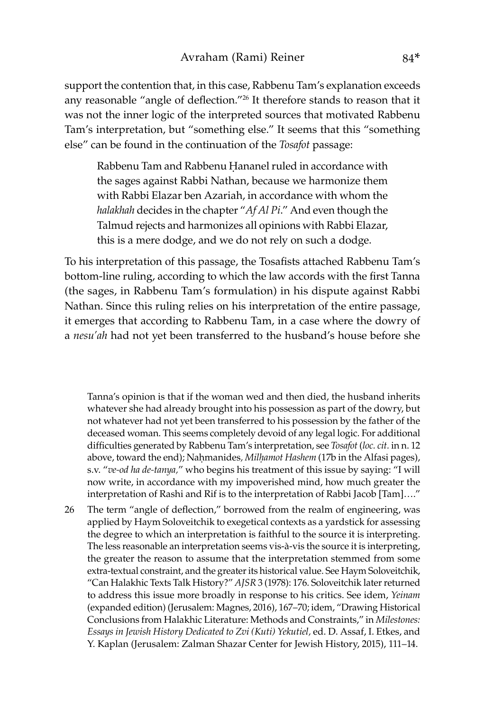support the contention that, in this case, Rabbenu Tam's explanation exceeds any reasonable "angle of deflection."26 It therefore stands to reason that it was not the inner logic of the interpreted sources that motivated Rabbenu Tam's interpretation, but "something else." It seems that this "something else" can be found in the continuation of the *Tosafot* passage:

Rabbenu Tam and Rabbenu Ḥananel ruled in accordance with the sages against Rabbi Nathan, because we harmonize them with Rabbi Elazar ben Azariah, in accordance with whom the *halakhah* decides in the chapter "*Af Al Pi*." And even though the Talmud rejects and harmonizes all opinions with Rabbi Elazar, this is a mere dodge, and we do not rely on such a dodge.

To his interpretation of this passage, the Tosafists attached Rabbenu Tam's bottom-line ruling, according to which the law accords with the first Tanna (the sages, in Rabbenu Tam's formulation) in his dispute against Rabbi Nathan. Since this ruling relies on his interpretation of the entire passage, it emerges that according to Rabbenu Tam, in a case where the dowry of a *nesu'ah* had not yet been transferred to the husband's house before she

Tanna's opinion is that if the woman wed and then died, the husband inherits whatever she had already brought into his possession as part of the dowry, but not whatever had not yet been transferred to his possession by the father of the deceased woman. This seems completely devoid of any legal logic. For additional difficulties generated by Rabbenu Tam's interpretation, see *Tosafot* (*loc. cit.* in n. 12 above, toward the end); Naḥmanides*, Milḥamot Hashem* (17b in the Alfasi pages), s.v. "*ve-od ha de-tanya,*" who begins his treatment of this issue by saying: "I will now write, in accordance with my impoverished mind, how much greater the interpretation of Rashi and Rif is to the interpretation of Rabbi Jacob [Tam]…."

26 The term "angle of deflection," borrowed from the realm of engineering, was applied by Haym Soloveitchik to exegetical contexts as a yardstick for assessing the degree to which an interpretation is faithful to the source it is interpreting. The less reasonable an interpretation seems vis-à-vis the source it is interpreting, the greater the reason to assume that the interpretation stemmed from some extra-textual constraint, and the greater its historical value. See Haym Soloveitchik, "Can Halakhic Texts Talk History?" *AJSR* 3 (1978): 176. Soloveitchik later returned to address this issue more broadly in response to his critics. See idem, *Yeinam*  (expanded edition) (Jerusalem: Magnes, 2016), 167–70; idem, "Drawing Historical Conclusions from Halakhic Literature: Methods and Constraints," in *Milestones: Essays in Jewish History Dedicated to Zvi (Kuti) Yekutiel,* ed. D. Assaf, I. Etkes, and Y. Kaplan (Jerusalem: Zalman Shazar Center for Jewish History, 2015), 111–14.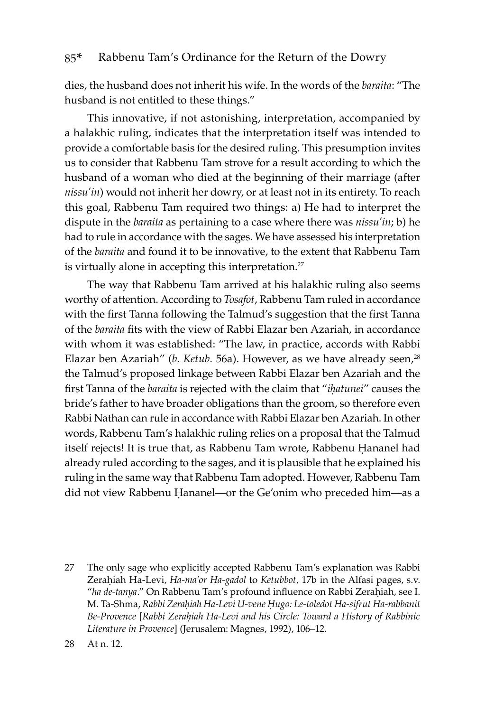dies, the husband does not inherit his wife. In the words of the *baraita*: "The husband is not entitled to these things."

This innovative, if not astonishing, interpretation, accompanied by a halakhic ruling, indicates that the interpretation itself was intended to provide a comfortable basis for the desired ruling. This presumption invites us to consider that Rabbenu Tam strove for a result according to which the husband of a woman who died at the beginning of their marriage (after *nissu'in*) would not inherit her dowry, or at least not in its entirety. To reach this goal, Rabbenu Tam required two things: a) He had to interpret the dispute in the *baraita* as pertaining to a case where there was *nissu'in*; b) he had to rule in accordance with the sages. We have assessed his interpretation of the *baraita* and found it to be innovative, to the extent that Rabbenu Tam is virtually alone in accepting this interpretation.<sup>27</sup>

The way that Rabbenu Tam arrived at his halakhic ruling also seems worthy of attention. According to *Tosafot*, Rabbenu Tam ruled in accordance with the first Tanna following the Talmud's suggestion that the first Tanna of the *baraita* fits with the view of Rabbi Elazar ben Azariah, in accordance with whom it was established: "The law, in practice, accords with Rabbi Elazar ben Azariah" (*b. Ketub.* 56a). However, as we have already seen,<sup>28</sup> the Talmud's proposed linkage between Rabbi Elazar ben Azariah and the first Tanna of the *baraita* is rejected with the claim that "*iḥatunei*" causes the bride's father to have broader obligations than the groom, so therefore even Rabbi Nathan can rule in accordance with Rabbi Elazar ben Azariah. In other words, Rabbenu Tam's halakhic ruling relies on a proposal that the Talmud itself rejects! It is true that, as Rabbenu Tam wrote, Rabbenu Ḥananel had already ruled according to the sages, and it is plausible that he explained his ruling in the same way that Rabbenu Tam adopted. However, Rabbenu Tam did not view Rabbenu Ḥananel—or the Ge'onim who preceded him—as a

27 The only sage who explicitly accepted Rabbenu Tam's explanation was Rabbi Zeraḥiah Ha-Levi, *Ha-ma'or Ha-gadol* to *Ketubbot*, 17b in the Alfasi pages, s.v. "ha de-tanya." On Rabbenu Tam's profound influence on Rabbi Zeraḥiah, see I. M. Ta-Shma, *Rabbi Zeraḥiah Ha-Levi U-vene Ḥugo: Le-toledot Ha-sifrut Ha-rabbanit Be-Provence* [*Rabbi Zeraḥiah Ha-Levi and his Circle: Toward a History of Rabbinic Literature in Provence*] (Jerusalem: Magnes, 1992), 106–12.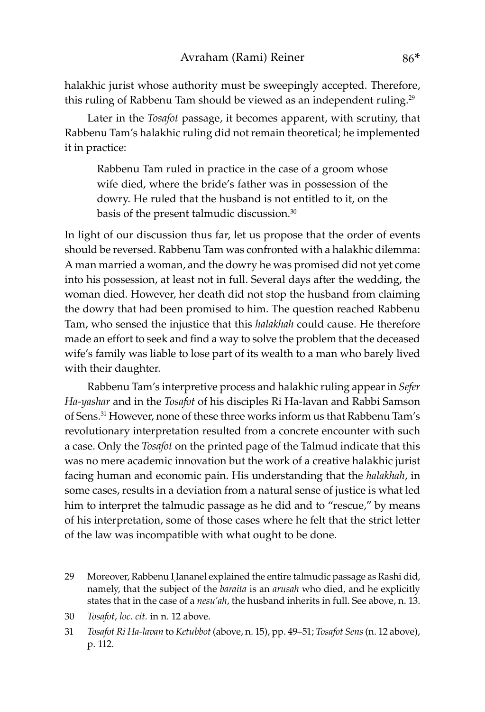halakhic jurist whose authority must be sweepingly accepted. Therefore, this ruling of Rabbenu Tam should be viewed as an independent ruling.<sup>29</sup>

Later in the *Tosafot* passage, it becomes apparent, with scrutiny, that Rabbenu Tam's halakhic ruling did not remain theoretical; he implemented it in practice:

Rabbenu Tam ruled in practice in the case of a groom whose wife died, where the bride's father was in possession of the dowry. He ruled that the husband is not entitled to it, on the basis of the present talmudic discussion.30

In light of our discussion thus far, let us propose that the order of events should be reversed. Rabbenu Tam was confronted with a halakhic dilemma: A man married a woman, and the dowry he was promised did not yet come into his possession, at least not in full. Several days after the wedding, the woman died. However, her death did not stop the husband from claiming the dowry that had been promised to him. The question reached Rabbenu Tam, who sensed the injustice that this *halakhah* could cause. He therefore made an effort to seek and find a way to solve the problem that the deceased wife's family was liable to lose part of its wealth to a man who barely lived with their daughter.

Rabbenu Tam's interpretive process and halakhic ruling appear in *Sefer Ha-yashar* and in the *Tosafot* of his disciples Ri Ha-lavan and Rabbi Samson of Sens.<sup>31</sup> However, none of these three works inform us that Rabbenu Tam's revolutionary interpretation resulted from a concrete encounter with such a case. Only the *Tosafot* on the printed page of the Talmud indicate that this was no mere academic innovation but the work of a creative halakhic jurist facing human and economic pain. His understanding that the *halakhah*, in some cases, results in a deviation from a natural sense of justice is what led him to interpret the talmudic passage as he did and to "rescue," by means of his interpretation, some of those cases where he felt that the strict letter of the law was incompatible with what ought to be done.

- 29 Moreover, Rabbenu Ḥananel explained the entire talmudic passage as Rashi did, namely, that the subject of the *baraita* is an *arusah* who died, and he explicitly states that in the case of a *nesu'ah*, the husband inherits in full. See above, n. 13.
- 30 *Tosafot*, *loc. cit.* in n. 12 above.
- 31 *Tosafot Ri Ha-lavan* to *Ketubbot* (above, n. 15), pp. 49–51; *Tosafot Sens* (n. 12 above), p. 112.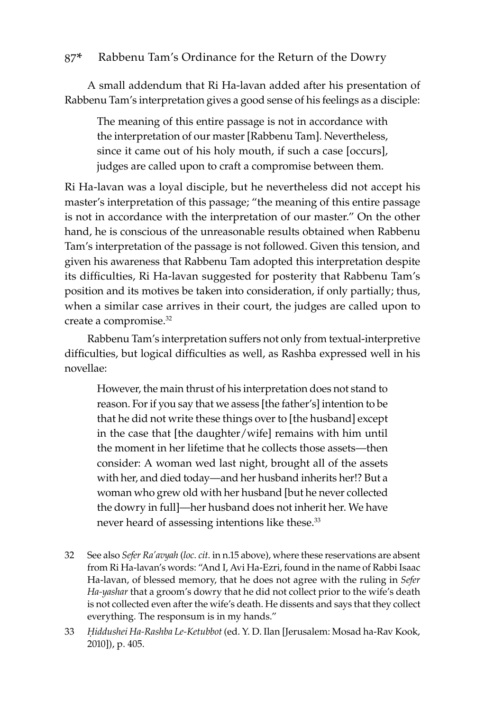A small addendum that Ri Ha-lavan added after his presentation of Rabbenu Tam's interpretation gives a good sense of his feelings as a disciple:

The meaning of this entire passage is not in accordance with the interpretation of our master [Rabbenu Tam]. Nevertheless, since it came out of his holy mouth, if such a case [occurs], judges are called upon to craft a compromise between them.

Ri Ha-lavan was a loyal disciple, but he nevertheless did not accept his master's interpretation of this passage; "the meaning of this entire passage is not in accordance with the interpretation of our master." On the other hand, he is conscious of the unreasonable results obtained when Rabbenu Tam's interpretation of the passage is not followed. Given this tension, and given his awareness that Rabbenu Tam adopted this interpretation despite its difficulties, Ri Ha-lavan suggested for posterity that Rabbenu Tam's position and its motives be taken into consideration, if only partially; thus, when a similar case arrives in their court, the judges are called upon to create a compromise.<sup>32</sup>

Rabbenu Tam's interpretation suffers not only from textual-interpretive difficulties, but logical difficulties as well, as Rashba expressed well in his novellae:

However, the main thrust of his interpretation does not stand to reason. For if you say that we assess [the father's] intention to be that he did not write these things over to [the husband] except in the case that [the daughter/wife] remains with him until the moment in her lifetime that he collects those assets—then consider: A woman wed last night, brought all of the assets with her, and died today—and her husband inherits her!? But a woman who grew old with her husband [but he never collected the dowry in full]—her husband does not inherit her. We have never heard of assessing intentions like these.<sup>33</sup>

- 32 See also *Sefer Ra'avyah* (*loc. cit.* in n.15 above), where these reservations are absent from Ri Ha-lavan's words: "And I, Avi Ha-Ezri, found in the name of Rabbi Isaac Ha-lavan, of blessed memory, that he does not agree with the ruling in *Sefer Ha-yashar* that a groom's dowry that he did not collect prior to the wife's death is not collected even after the wife's death. He dissents and says that they collect everything. The responsum is in my hands."
- 33 *Ḥiddushei Ha-Rashba Le-Ketubbot* (ed. Y. D. Ilan [Jerusalem: Mosad ha-Rav Kook, 2010]), p. 405.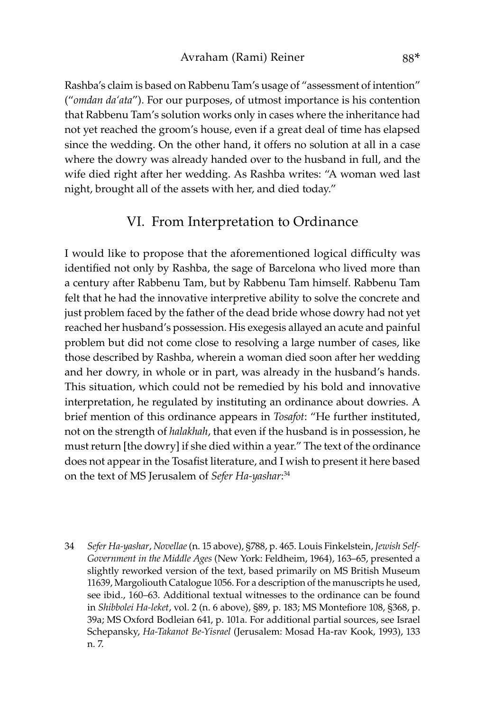Rashba's claim is based on Rabbenu Tam's usage of "assessment of intention" ("*omdan da'ata*"). For our purposes, of utmost importance is his contention that Rabbenu Tam's solution works only in cases where the inheritance had not yet reached the groom's house, even if a great deal of time has elapsed since the wedding. On the other hand, it offers no solution at all in a case where the dowry was already handed over to the husband in full, and the wife died right after her wedding. As Rashba writes: "A woman wed last night, brought all of the assets with her, and died today."

### VI. From Interpretation to Ordinance

I would like to propose that the aforementioned logical difficulty was identified not only by Rashba, the sage of Barcelona who lived more than a century after Rabbenu Tam, but by Rabbenu Tam himself. Rabbenu Tam felt that he had the innovative interpretive ability to solve the concrete and just problem faced by the father of the dead bride whose dowry had not yet reached her husband's possession. His exegesis allayed an acute and painful problem but did not come close to resolving a large number of cases, like those described by Rashba, wherein a woman died soon after her wedding and her dowry, in whole or in part, was already in the husband's hands. This situation, which could not be remedied by his bold and innovative interpretation, he regulated by instituting an ordinance about dowries. A brief mention of this ordinance appears in *Tosafot*: "He further instituted, not on the strength of *halakhah*, that even if the husband is in possession, he must return [the dowry] if she died within a year." The text of the ordinance does not appear in the Tosafist literature, and I wish to present it here based on the text of MS Jerusalem of *Sefer Ha-yashar*: 34

34 *Sefer Ha-yashar*, *Novellae* (n. 15 above), §788, p. 465. Louis Finkelstein, *Jewish Self-Government in the Middle Ages* (New York: Feldheim, 1964), 163–65, presented a slightly reworked version of the text, based primarily on MS British Museum 11639, Margoliouth Catalogue 1056. For a description of the manuscripts he used, see ibid., 160–63. Additional textual witnesses to the ordinance can be found in *Shibbolei Ha-leket*, vol. 2 (n. 6 above), §89, p. 183; MS Montefiore 108, §368, p. 39a; MS Oxford Bodleian 641, p. 101a. For additional partial sources, see Israel Schepansky, *Ha-Takanot Be-Yisrael* (Jerusalem: Mosad Ha-rav Kook, 1993), 133 n. 7.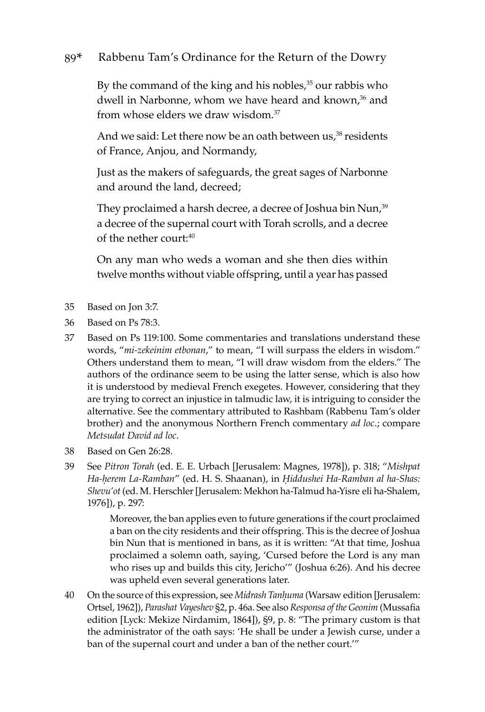By the command of the king and his nobles,<sup>35</sup> our rabbis who dwell in Narbonne, whom we have heard and known,<sup>36</sup> and from whose elders we draw wisdom<sup>37</sup>

And we said: Let there now be an oath between us,<sup>38</sup> residents of France, Anjou, and Normandy,

Just as the makers of safeguards, the great sages of Narbonne and around the land, decreed;

They proclaimed a harsh decree, a decree of Joshua bin Nun,<sup>39</sup> a decree of the supernal court with Torah scrolls, and a decree of the nether court:<sup>40</sup>

On any man who weds a woman and she then dies within twelve months without viable offspring, until a year has passed

- 35 Based on Jon 3:7.
- 36 Based on Ps 78:3.
- 37 Based on Ps 119:100. Some commentaries and translations understand these words, "*mi-zekeinim etbonan*," to mean, "I will surpass the elders in wisdom." Others understand them to mean, "I will draw wisdom from the elders." The authors of the ordinance seem to be using the latter sense, which is also how it is understood by medieval French exegetes. However, considering that they are trying to correct an injustice in talmudic law, it is intriguing to consider the alternative. See the commentary attributed to Rashbam (Rabbenu Tam's older brother) and the anonymous Northern French commentary *ad loc*.; compare *Metsudat David ad loc*.
- 38 Based on Gen 26:28.
- 39 See *Pitron Torah* (ed. E. E. Urbach [Jerusalem: Magnes, 1978]), p. 318; "*Mishpat Ha-ḥerem La-Ramban*" (ed. H. S. Shaanan), in *Ḥiddushei Ha-Ramban al ha-Shas: Shevu'ot* (ed. M. Herschler [Jerusalem: Mekhon ha-Talmud ha-Yisre'eli ha-Shalem, 1976]), p. 297:

Moreover, the ban applies even to future generations if the court proclaimed a ban on the city residents and their offspring. This is the decree of Joshua bin Nun that is mentioned in bans, as it is written: "At that time, Joshua proclaimed a solemn oath, saying, 'Cursed before the Lord is any man who rises up and builds this city, Jericho'" (Joshua 6:26). And his decree was upheld even several generations later.

40 On the source of this expression, see *Midrash Tanḥuma* (Warsaw edition [Jerusalem: Ortsel, 1962]), *Parashat Vayeshev* §2, p. 46a. See also *Responsa of the Geonim* (Mussafia edition [Lyck: Mekize Nirdamim, 1864]), §9, p. 8: "The primary custom is that the administrator of the oath says: 'He shall be under a Jewish curse, under a ban of the supernal court and under a ban of the nether court.'"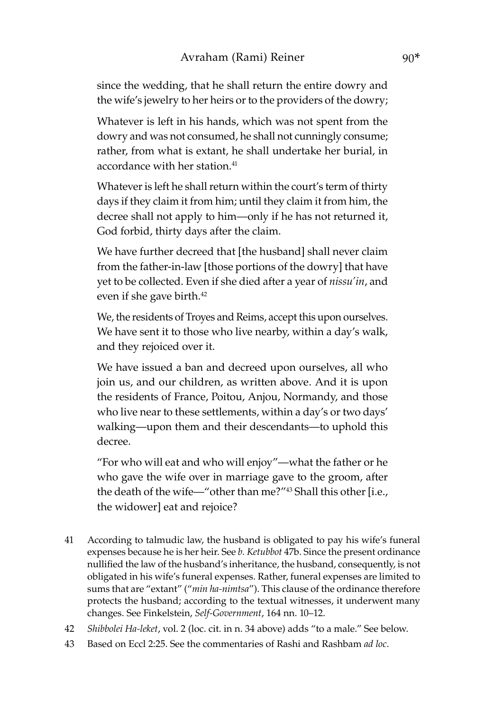since the wedding, that he shall return the entire dowry and the wife's jewelry to her heirs or to the providers of the dowry;

Whatever is left in his hands, which was not spent from the dowry and was not consumed, he shall not cunningly consume; rather, from what is extant, he shall undertake her burial, in accordance with her station.<sup>41</sup>

Whatever is left he shall return within the court's term of thirty days if they claim it from him; until they claim it from him, the decree shall not apply to him—only if he has not returned it, God forbid, thirty days after the claim.

We have further decreed that [the husband] shall never claim from the father-in-law [those portions of the dowry] that have yet to be collected. Even if she died after a year of *nissu'in*, and even if she gave birth.<sup>42</sup>

We, the residents of Troyes and Reims, accept this upon ourselves. We have sent it to those who live nearby, within a day's walk, and they rejoiced over it.

We have issued a ban and decreed upon ourselves, all who join us, and our children, as written above. And it is upon the residents of France, Poitou, Anjou, Normandy, and those who live near to these settlements, within a day's or two days' walking—upon them and their descendants—to uphold this decree.

"For who will eat and who will enjoy"—what the father or he who gave the wife over in marriage gave to the groom, after the death of the wife—"other than me?"43 Shall this other [i.e., the widower] eat and rejoice?

- 41 According to talmudic law, the husband is obligated to pay his wife's funeral expenses because he is her heir. See *b. Ketubbot* 47b. Since the present ordinance nullified the law of the husband's inheritance, the husband, consequently, is not obligated in his wife's funeral expenses. Rather, funeral expenses are limited to sums that are "extant" ("*min ha-nimtsa*"). This clause of the ordinance therefore protects the husband; according to the textual witnesses, it underwent many changes. See Finkelstein, *Self-Government*, 164 nn. 10–12.
- 42 *Shibbolei Ha-leket*, vol. 2 (loc. cit. in n. 34 above) adds "to a male." See below.
- 43 Based on Eccl 2:25. See the commentaries of Rashi and Rashbam *ad loc*.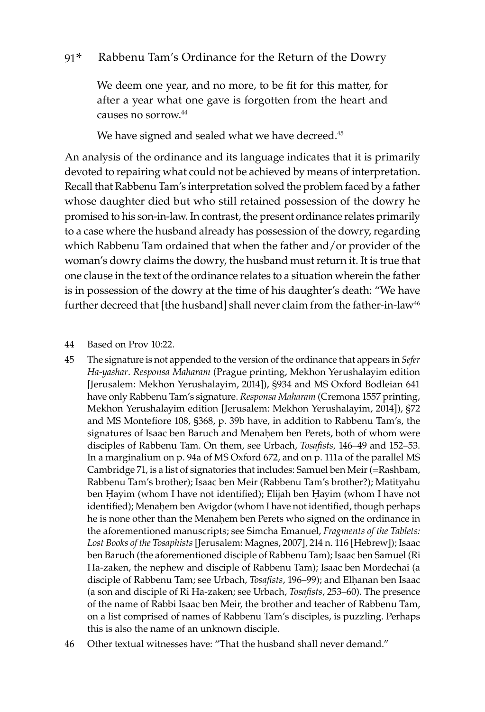We deem one year, and no more, to be fit for this matter, for after a year what one gave is forgotten from the heart and causes no sorrow.<sup>44</sup>

We have signed and sealed what we have decreed.<sup>45</sup>

An analysis of the ordinance and its language indicates that it is primarily devoted to repairing what could not be achieved by means of interpretation. Recall that Rabbenu Tam's interpretation solved the problem faced by a father whose daughter died but who still retained possession of the dowry he promised to his son-in-law. In contrast, the present ordinance relates primarily to a case where the husband already has possession of the dowry, regarding which Rabbenu Tam ordained that when the father and/or provider of the woman's dowry claims the dowry, the husband must return it. It is true that one clause in the text of the ordinance relates to a situation wherein the father is in possession of the dowry at the time of his daughter's death: "We have further decreed that [the husband] shall never claim from the father-in-law<sup>46</sup>

44 Based on Prov 10:22.

45 The signature is not appended to the version of the ordinance that appears in *Sefer Ha-yashar*. *Responsa Maharam* (Prague printing, Mekhon Yerushalayim edition [Jerusalem: Mekhon Yerushalayim, 2014]), §934 and MS Oxford Bodleian 641 have only Rabbenu Tam's signature. *Responsa Maharam* (Cremona 1557 printing, Mekhon Yerushalayim edition [Jerusalem: Mekhon Yerushalayim, 2014]), §72 and MS Montefiore 108, §368, p. 39b have, in addition to Rabbenu Tam's, the signatures of Isaac ben Baruch and Menahem ben Perets, both of whom were disciples of Rabbenu Tam. On them, see Urbach, *Tosafists,* 146–49 and 152–53. In a marginalium on p. 94a of MS Oxford 672, and on p. 111a of the parallel MS Cambridge 71, is a list of signatories that includes: Samuel ben Meir (=Rashbam, Rabbenu Tam's brother); Isaac ben Meir (Rabbenu Tam's brother?); Matityahu ben Ḥayim (whom I have not identified); Elijah ben Ḥayim (whom I have not identified); Menahem ben Avigdor (whom I have not identified, though perhaps he is none other than the Menaḥem ben Perets who signed on the ordinance in the aforementioned manuscripts; see Simcha Emanuel, *Fragments of the Tablets: Lost Books of the Tosaphists* [Jerusalem: Magnes, 2007], 214 n. 116 [Hebrew]); Isaac ben Baruch (the aforementioned disciple of Rabbenu Tam); Isaac ben Samuel (Ri Ha-zaken, the nephew and disciple of Rabbenu Tam); Isaac ben Mordechai (a disciple of Rabbenu Tam; see Urbach, *Tosafists*, 196–99); and Elḥanan ben Isaac (a son and disciple of Ri Ha-zaken; see Urbach, *Tosafists*, 253–60). The presence of the name of Rabbi Isaac ben Meir, the brother and teacher of Rabbenu Tam, on a list comprised of names of Rabbenu Tam's disciples, is puzzling. Perhaps this is also the name of an unknown disciple.

46 Other textual witnesses have: "That the husband shall never demand."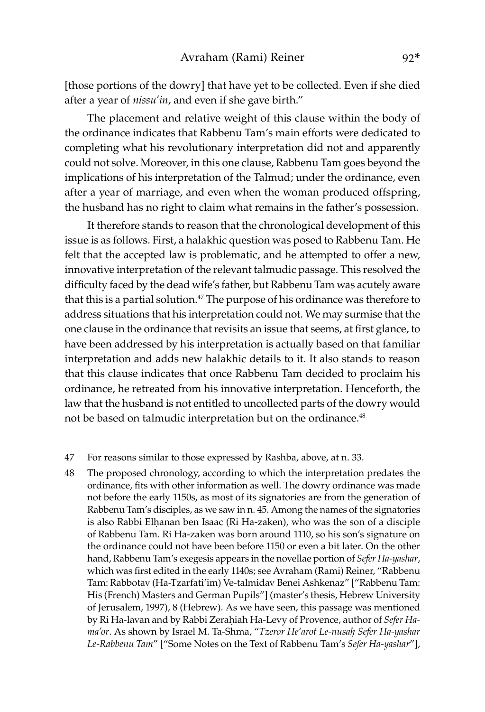[those portions of the dowry] that have yet to be collected. Even if she died after a year of *nissu'in*, and even if she gave birth."

The placement and relative weight of this clause within the body of the ordinance indicates that Rabbenu Tam's main efforts were dedicated to completing what his revolutionary interpretation did not and apparently could not solve. Moreover, in this one clause, Rabbenu Tam goes beyond the implications of his interpretation of the Talmud; under the ordinance, even after a year of marriage, and even when the woman produced offspring, the husband has no right to claim what remains in the father's possession.

It therefore stands to reason that the chronological development of this issue is as follows. First, a halakhic question was posed to Rabbenu Tam. He felt that the accepted law is problematic, and he attempted to offer a new, innovative interpretation of the relevant talmudic passage. This resolved the difficulty faced by the dead wife's father, but Rabbenu Tam was acutely aware that this is a partial solution.<sup>47</sup> The purpose of his ordinance was therefore to address situations that his interpretation could not. We may surmise that the one clause in the ordinance that revisits an issue that seems, at first glance, to have been addressed by his interpretation is actually based on that familiar interpretation and adds new halakhic details to it. It also stands to reason that this clause indicates that once Rabbenu Tam decided to proclaim his ordinance, he retreated from his innovative interpretation. Henceforth, the law that the husband is not entitled to uncollected parts of the dowry would not be based on talmudic interpretation but on the ordinance.<sup>48</sup>

#### 47 For reasons similar to those expressed by Rashba, above, at n. 33.

48 The proposed chronology, according to which the interpretation predates the ordinance, fits with other information as well. The dowry ordinance was made not before the early 1150s, as most of its signatories are from the generation of Rabbenu Tam's disciples, as we saw in n. 45. Among the names of the signatories is also Rabbi Elḥanan ben Isaac (Ri Ha-zaken), who was the son of a disciple of Rabbenu Tam. Ri Ha-zaken was born around 1110, so his son's signature on the ordinance could not have been before 1150 or even a bit later. On the other hand, Rabbenu Tam's exegesis appears in the novellae portion of *Sefer Ha-yashar*, which was first edited in the early 1140s; see Avraham (Rami) Reiner, "Rabbenu Tam: Rabbotav (Ha-Tzarfati'im) Ve-talmidav Benei Ashkenaz" ["Rabbenu Tam: His (French) Masters and German Pupils"] (master's thesis, Hebrew University of Jerusalem, 1997), 8 (Hebrew). As we have seen, this passage was mentioned by Ri Ha-lavan and by Rabbi Zeraḥiah Ha-Levy of Provence, author of *Sefer Hama'or*. As shown by Israel M. Ta-Shma, "*Tzeror He'arot Le-nusaḥ Sefer Ha-yashar Le-Rabbenu Tam*" ["Some Notes on the Text of Rabbenu Tam's *Sefer Ha-yashar*"],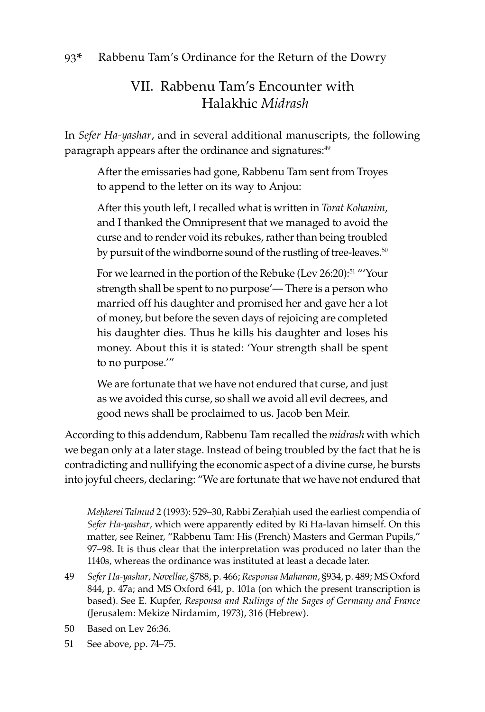### VII. Rabbenu Tam's Encounter with Halakhic *Midrash*

In *Sefer Ha-yashar*, and in several additional manuscripts, the following paragraph appears after the ordinance and signatures:<sup>49</sup>

After the emissaries had gone, Rabbenu Tam sent from Troyes to append to the letter on its way to Anjou:

After this youth left, I recalled what is written in *Torat Kohanim*, and I thanked the Omnipresent that we managed to avoid the curse and to render void its rebukes, rather than being troubled by pursuit of the windborne sound of the rustling of tree-leaves.<sup>50</sup>

For we learned in the portion of the Rebuke (Lev 26:20):<sup>51</sup> "Your strength shall be spent to no purpose'— There is a person who married off his daughter and promised her and gave her a lot of money, but before the seven days of rejoicing are completed his daughter dies. Thus he kills his daughter and loses his money. About this it is stated: 'Your strength shall be spent to no purpose.'"

We are fortunate that we have not endured that curse, and just as we avoided this curse, so shall we avoid all evil decrees, and good news shall be proclaimed to us. Jacob ben Meir.

According to this addendum, Rabbenu Tam recalled the *midrash* with which we began only at a later stage. Instead of being troubled by the fact that he is contradicting and nullifying the economic aspect of a divine curse, he bursts into joyful cheers, declaring: "We are fortunate that we have not endured that

*Meḥkerei Talmud* 2 (1993): 529–30, Rabbi Zeraḥiah used the earliest compendia of *Sefer Ha-yashar*, which were apparently edited by Ri Ha-lavan himself. On this matter, see Reiner, "Rabbenu Tam: His (French) Masters and German Pupils," 97–98. It is thus clear that the interpretation was produced no later than the 1140s, whereas the ordinance was instituted at least a decade later.

- 49 *Sefer Ha-yashar*, *Novellae*, §788, p. 466; *Responsa Maharam*, §934, p. 489; MS Oxford 844, p. 47a; and MS Oxford 641, p. 101a (on which the present transcription is based). See E. Kupfer, *Responsa and Rulings of the Sages of Germany and France* (Jerusalem: Mekize Nirdamim, 1973), 316 (Hebrew).
- 50 Based on Lev 26:36.
- 51 See above, pp. 74–75.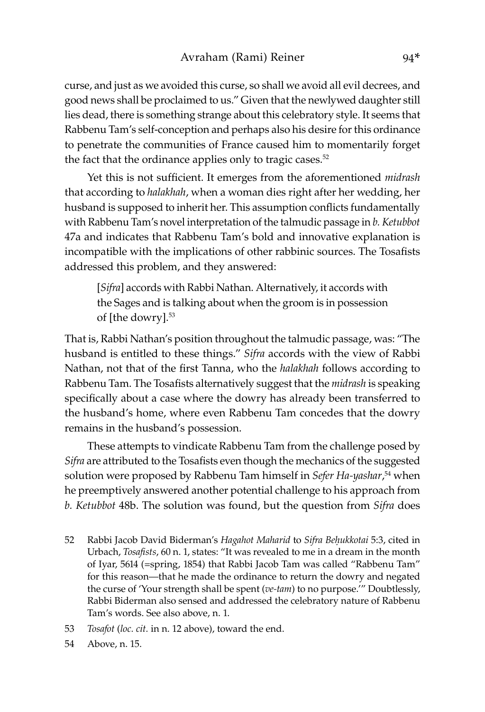curse, and just as we avoided this curse, so shall we avoid all evil decrees, and good news shall be proclaimed to us." Given that the newlywed daughter still lies dead, there is something strange about this celebratory style. It seems that Rabbenu Tam's self-conception and perhaps also his desire for this ordinance to penetrate the communities of France caused him to momentarily forget the fact that the ordinance applies only to tragic cases.<sup>52</sup>

Yet this is not sufficient. It emerges from the aforementioned *midrash* that according to *halakhah*, when a woman dies right after her wedding, her husband is supposed to inherit her. This assumption conflicts fundamentally with Rabbenu Tam's novel interpretation of the talmudic passage in *b. Ketubbot*  47a and indicates that Rabbenu Tam's bold and innovative explanation is incompatible with the implications of other rabbinic sources. The Tosafists addressed this problem, and they answered:

[*Sifra*] accords with Rabbi Nathan. Alternatively, it accords with the Sages and is talking about when the groom is in possession of [the dowry].<sup>53</sup>

That is, Rabbi Nathan's position throughout the talmudic passage, was: "The husband is entitled to these things." *Sifra* accords with the view of Rabbi Nathan, not that of the first Tanna, who the *halakhah* follows according to Rabbenu Tam. The Tosafists alternatively suggest that the *midrash* is speaking specifically about a case where the dowry has already been transferred to the husband's home, where even Rabbenu Tam concedes that the dowry remains in the husband's possession.

These attempts to vindicate Rabbenu Tam from the challenge posed by *Sifra* are attributed to the Tosafists even though the mechanics of the suggested solution were proposed by Rabbenu Tam himself in *Sefer Ha-yashar*, <sup>54</sup> when he preemptively answered another potential challenge to his approach from *b. Ketubbot* 48b. The solution was found, but the question from *Sifra* does

- 52 Rabbi Jacob David Biderman's *Hagahot Maharid* to *Sifra Beḥukkotai* 5:3, cited in Urbach, *Tosafists*, 60 n. 1, states: "It was revealed to me in a dream in the month of Iyar, 5614 (=spring, 1854) that Rabbi Jacob Tam was called "Rabbenu Tam" for this reason—that he made the ordinance to return the dowry and negated the curse of 'Your strength shall be spent (*ve-tam*) to no purpose.'" Doubtlessly, Rabbi Biderman also sensed and addressed the celebratory nature of Rabbenu Tam's words. See also above, n. 1.
- 53 *Tosafot* (*loc. cit.* in n. 12 above), toward the end.
- 54 Above, n. 15.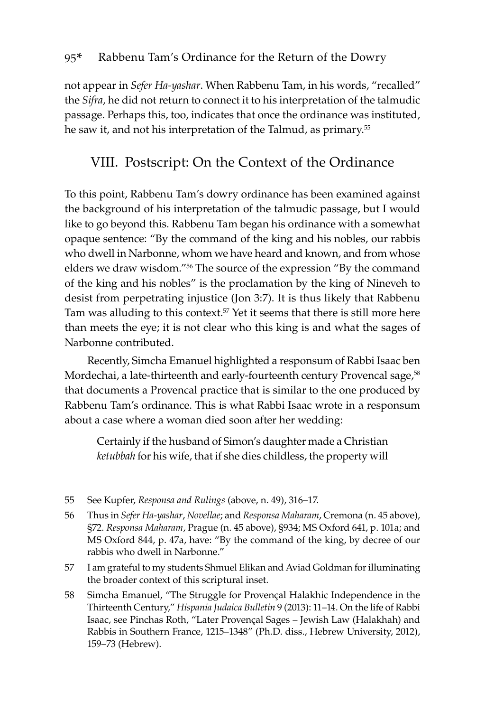not appear in *Sefer Ha-yashar*. When Rabbenu Tam, in his words, "recalled" the *Sifra*, he did not return to connect it to his interpretation of the talmudic passage. Perhaps this, too, indicates that once the ordinance was instituted, he saw it, and not his interpretation of the Talmud, as primary.<sup>55</sup>

### VIII. Postscript: On the Context of the Ordinance

To this point, Rabbenu Tam's dowry ordinance has been examined against the background of his interpretation of the talmudic passage, but I would like to go beyond this. Rabbenu Tam began his ordinance with a somewhat opaque sentence: "By the command of the king and his nobles, our rabbis who dwell in Narbonne, whom we have heard and known, and from whose elders we draw wisdom."<sup>56</sup> The source of the expression "By the command of the king and his nobles" is the proclamation by the king of Nineveh to desist from perpetrating injustice (Jon 3:7). It is thus likely that Rabbenu Tam was alluding to this context.<sup>57</sup> Yet it seems that there is still more here than meets the eye; it is not clear who this king is and what the sages of Narbonne contributed.

Recently, Simcha Emanuel highlighted a responsum of Rabbi Isaac ben Mordechai, a late-thirteenth and early-fourteenth century Provencal sage,<sup>58</sup> that documents a Provencal practice that is similar to the one produced by Rabbenu Tam's ordinance. This is what Rabbi Isaac wrote in a responsum about a case where a woman died soon after her wedding:

Certainly if the husband of Simon's daughter made a Christian *ketubbah* for his wife, that if she dies childless, the property will

- 55 See Kupfer, *Responsa and Rulings* (above, n. 49), 316–17.
- 56 Thus in *Sefer Ha-yashar*, *Novellae*; and *Responsa Maharam*, Cremona (n. 45 above), §72. *Responsa Maharam*, Prague (n. 45 above), §934; MS Oxford 641, p. 101a; and MS Oxford 844, p. 47a, have: "By the command of the king, by decree of our rabbis who dwell in Narbonne."
- 57 I am grateful to my students Shmuel Elikan and Aviad Goldman for illuminating the broader context of this scriptural inset.
- 58 Simcha Emanuel, "The Struggle for Proven�al Halakhic Independence in the Thirteenth Century," *Hispania Judaica Bulletin* 9 (2013): 11–14. On the life of Rabbi Isaac, see Pinchas Roth, "Later Proven�al Sages – Jewish Law (Halakhah) and Rabbis in Southern France, 1215–1348" (Ph.D. diss., Hebrew University, 2012), 159–73 (Hebrew).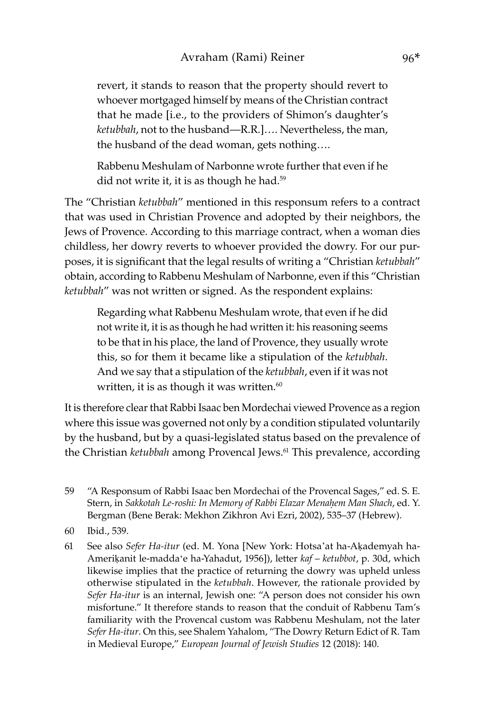revert, it stands to reason that the property should revert to whoever mortgaged himself by means of the Christian contract that he made [i.e., to the providers of Shimon's daughter's *ketubbah*, not to the husband—R.R.]…. Nevertheless, the man, the husband of the dead woman, gets nothing….

Rabbenu Meshulam of Narbonne wrote further that even if he did not write it, it is as though he had.<sup>59</sup>

The "Christian *ketubbah*" mentioned in this responsum refers to a contract that was used in Christian Provence and adopted by their neighbors, the Jews of Provence. According to this marriage contract, when a woman dies childless, her dowry reverts to whoever provided the dowry. For our purposes, it is significant that the legal results of writing a "Christian *ketubbah*" obtain, according to Rabbenu Meshulam of Narbonne, even if this "Christian *ketubbah*" was not written or signed. As the respondent explains:

Regarding what Rabbenu Meshulam wrote, that even if he did not write it, it is as though he had written it: his reasoning seems to be that in his place, the land of Provence, they usually wrote this, so for them it became like a stipulation of the *ketubbah*. And we say that a stipulation of the *ketubbah*, even if it was not written, it is as though it was written. $60$ 

It is therefore clear that Rabbi Isaac ben Mordechai viewed Provence as a region where this issue was governed not only by a condition stipulated voluntarily by the husband, but by a quasi-legislated status based on the prevalence of the Christian *ketubbah* among Provencal Jews.61 This prevalence, according

- 59 "A Responsum of Rabbi Isaac ben Mordechai of the Provencal Sages," ed. S. E. Stern, in *Sakkotah Le-roshi: In Memory of Rabbi Elazar Menaḥem Man Shach*, ed. Y. Bergman (Bene Berak: Mekhon Zikhron Avi Ezri, 2002), 535–37 (Hebrew).
- 60 Ibid., 539.
- 61 See also *Sefer Ha-itur* (ed. M. Yona [New York: Hotsa'at ha-Aḳademyah ha-Ameriḳanit le-maddaʻe ha-Yahadut, 1956]), letter *kaf* – *ketubbot*, p. 30d, which likewise implies that the practice of returning the dowry was upheld unless otherwise stipulated in the *ketubbah*. However, the rationale provided by *Sefer Ha-itur* is an internal, Jewish one: "A person does not consider his own misfortune." It therefore stands to reason that the conduit of Rabbenu Tam's familiarity with the Provencal custom was Rabbenu Meshulam, not the later *Sefer Ha-itur*. On this, see Shalem Yahalom, "The Dowry Return Edict of R. Tam in Medieval Europe," *European Journal of Jewish Studies* 12 (2018): 140.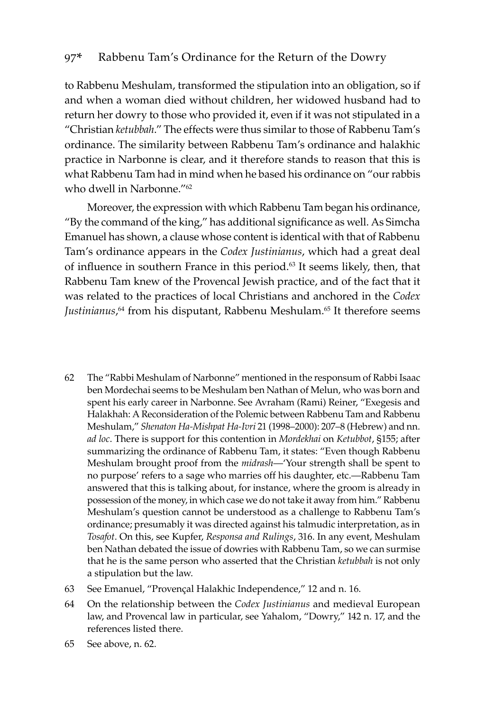to Rabbenu Meshulam, transformed the stipulation into an obligation, so if and when a woman died without children, her widowed husband had to return her dowry to those who provided it, even if it was not stipulated in a "Christian *ketubbah*." The effects were thus similar to those of Rabbenu Tam's ordinance. The similarity between Rabbenu Tam's ordinance and halakhic practice in Narbonne is clear, and it therefore stands to reason that this is what Rabbenu Tam had in mind when he based his ordinance on "our rabbis who dwell in Narbonne."<sup>62</sup>

Moreover, the expression with which Rabbenu Tam began his ordinance, "By the command of the king," has additional significance as well. As Simcha Emanuel has shown, a clause whose content is identical with that of Rabbenu Tam's ordinance appears in the *Codex Justinianus*, which had a great deal of influence in southern France in this period.<sup>63</sup> It seems likely, then, that Rabbenu Tam knew of the Provencal Jewish practice, and of the fact that it was related to the practices of local Christians and anchored in the *Codex*  Justinianus,<sup>64</sup> from his disputant, Rabbenu Meshulam.<sup>65</sup> It therefore seems

- 62 The "Rabbi Meshulam of Narbonne" mentioned in the responsum of Rabbi Isaac ben Mordechai seems to be Meshulam ben Nathan of Melun, who was born and spent his early career in Narbonne. See Avraham (Rami) Reiner, "Exegesis and Halakhah: A Reconsideration of the Polemic between Rabbenu Tam and Rabbenu Meshulam," *Shenaton Ha-Mishpat Ha-Ivri* 21 (1998–2000): 207–8 (Hebrew) and nn. *ad loc*. There is support for this contention in *Mordekhai* on *Ketubbot*, §155; after summarizing the ordinance of Rabbenu Tam, it states: "Even though Rabbenu Meshulam brought proof from the *midrash*—'Your strength shall be spent to no purpose' refers to a sage who marries off his daughter, etc.—Rabbenu Tam answered that this is talking about, for instance, where the groom is already in possession of the money, in which case we do not take it away from him." Rabbenu Meshulam's question cannot be understood as a challenge to Rabbenu Tam's ordinance; presumably it was directed against his talmudic interpretation, as in *Tosafot*. On this, see Kupfer, *Responsa and Rulings*, 316. In any event, Meshulam ben Nathan debated the issue of dowries with Rabbenu Tam, so we can surmise that he is the same person who asserted that the Christian *ketubbah* is not only a stipulation but the law.
- 63 See Emanuel, "Proven�al Halakhic Independence," 12 and n. 16.
- 64 On the relationship between the *Codex Justinianus* and medieval European law, and Provencal law in particular, see Yahalom, "Dowry," 142 n. 17, and the references listed there.
- 65 See above, n. 62.